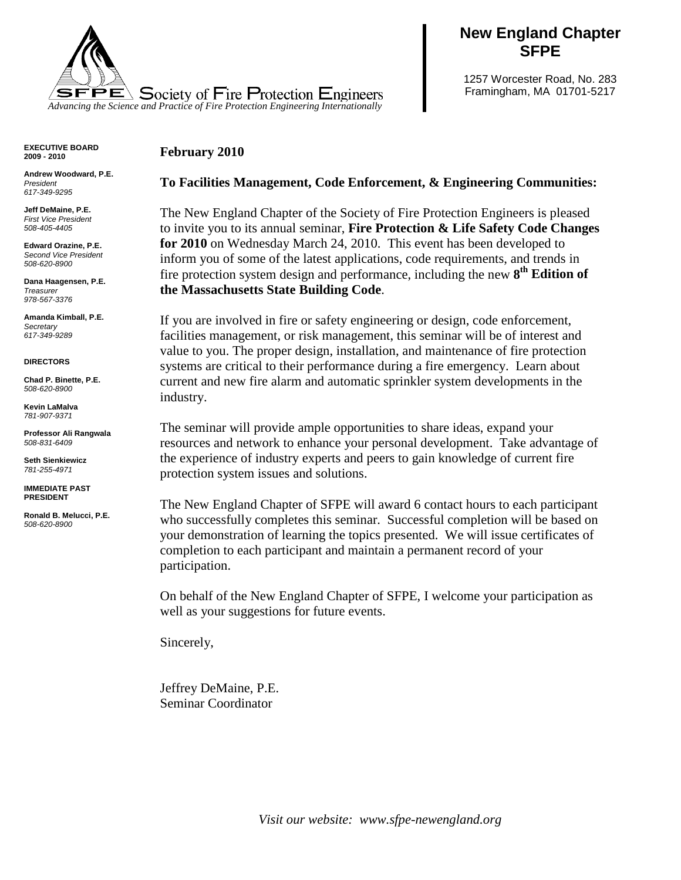

# **New England Chapter SFPE**

1257 Worcester Road, No. 283 Framingham, MA 01701-5217

## **February 2010**

**Andrew Woodward, P.E.** *President 617-349-9295*

**EXECUTIVE BOARD 2009 - 2010**

**Jeff DeMaine, P.E.** *First Vice President 508-405-4405*

**Edward Orazine, P.E.**  *Second Vice President 508-620-8900*

**Dana Haagensen, P.E.** *Treasurer 978-567-3376*

**Amanda Kimball, P.E.** *Secretary 617-349-9289*

#### **DIRECTORS**

**Chad P. Binette, P.E.** *508-620-8900*

**Kevin LaMalva** *781-907-9371*

**Professor Ali Rangwala** *508-831-6409*

**Seth Sienkiewicz**  *781-255-4971*

**IMMEDIATE PAST PRESIDENT**

**Ronald B. Melucci, P.E.** *508-620-8900*

## **To Facilities Management, Code Enforcement, & Engineering Communities:**

The New England Chapter of the Society of Fire Protection Engineers is pleased to invite you to its annual seminar, **Fire Protection & Life Safety Code Changes for 2010** on Wednesday March 24, 2010. This event has been developed to inform you of some of the latest applications, code requirements, and trends in fire protection system design and performance, including the new **8th Edition of the Massachusetts State Building Code**.

If you are involved in fire or safety engineering or design, code enforcement, facilities management, or risk management, this seminar will be of interest and value to you. The proper design, installation, and maintenance of fire protection systems are critical to their performance during a fire emergency. Learn about current and new fire alarm and automatic sprinkler system developments in the industry.

The seminar will provide ample opportunities to share ideas, expand your resources and network to enhance your personal development. Take advantage of the experience of industry experts and peers to gain knowledge of current fire protection system issues and solutions.

The New England Chapter of SFPE will award 6 contact hours to each participant who successfully completes this seminar. Successful completion will be based on your demonstration of learning the topics presented. We will issue certificates of completion to each participant and maintain a permanent record of your participation.

On behalf of the New England Chapter of SFPE, I welcome your participation as well as your suggestions for future events.

Sincerely,

Jeffrey DeMaine, P.E. Seminar Coordinator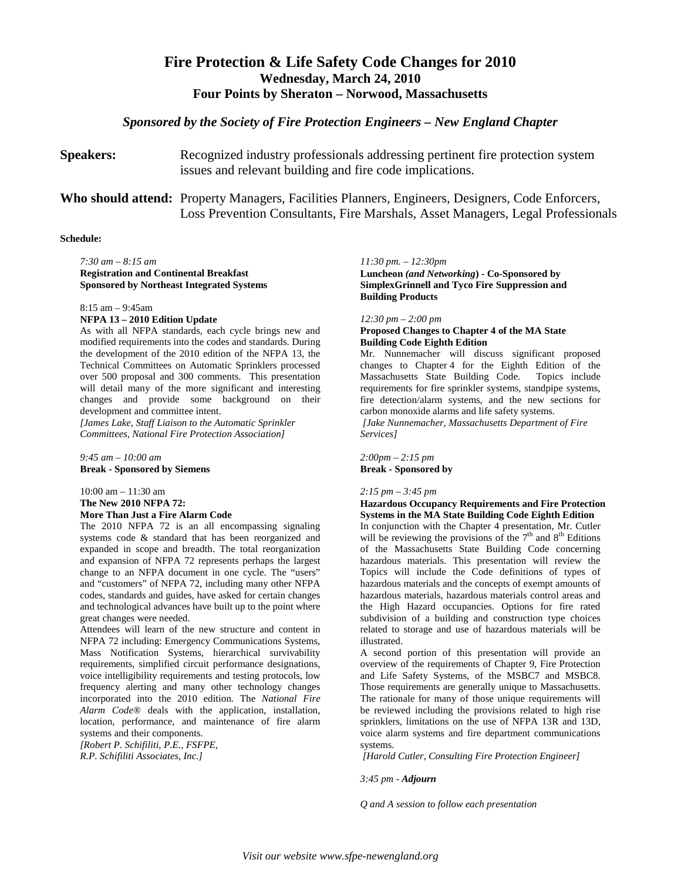## **Fire Protection & Life Safety Code Changes for 2010 Wednesday, March 24, 2010 Four Points by Sheraton – Norwood, Massachusetts**

### *Sponsored by the Society of Fire Protection Engineers – New England Chapter*

**Speakers:** Recognized industry professionals addressing pertinent fire protection system issues and relevant building and fire code implications.

**Who should attend:** Property Managers, Facilities Planners, Engineers, Designers, Code Enforcers, Loss Prevention Consultants, Fire Marshals, Asset Managers, Legal Professionals

#### **Schedule:**

*7:30 am* – *8:15 am* **Registration and Continental Breakfast Sponsored by Northeast Integrated Systems**

8:15 am – 9:45am

#### **NFPA 13 – 2010 Edition Update**

As with all NFPA standards, each cycle brings new and modified requirements into the codes and standards. During the development of the 2010 edition of the NFPA 13, the Technical Committees on Automatic Sprinklers processed over 500 proposal and 300 comments. This presentation will detail many of the more significant and interesting changes and provide some background on their development and committee intent.

*[James Lake, Staff Liaison to the Automatic Sprinkler Committees, National Fire Protection Association]*

*9:45 am* – *10:00 am* **Break - Sponsored by Siemens**

10:00 am – 11:30 am **The New 2010 NFPA 72: More Than Just a Fire Alarm Code**

The 2010 NFPA 72 is an all encompassing signaling systems code & standard that has been reorganized and expanded in scope and breadth. The total reorganization and expansion of NFPA 72 represents perhaps the largest change to an NFPA document in one cycle. The "users" and "customers" of NFPA 72, including many other NFPA codes, standards and guides, have asked for certain changes and technological advances have built up to the point where great changes were needed.

Attendees will learn of the new structure and content in NFPA 72 including: Emergency Communications Systems, Mass Notification Systems, hierarchical survivability requirements, simplified circuit performance designations, voice intelligibility requirements and testing protocols, low frequency alerting and many other technology changes incorporated into the 2010 edition. The *National Fire Alarm Code*® deals with the application, installation, location, performance, and maintenance of fire alarm systems and their components.

*[Robert P. Schifiliti, P.E., FSFPE, R.P. Schifiliti Associates, Inc.]*

*11:30 pm. – 12:30pm* **Luncheon** *(and Networking***) - Co-Sponsored by SimplexGrinnell and Tyco Fire Suppression and Building Products**

#### *12:30 pm – 2:00 pm*

### **Proposed Changes to Chapter 4 of the MA State Building Code Eighth Edition**

Mr. Nunnemacher will discuss significant proposed changes to Chapter 4 for the Eighth Edition of the Massachusetts State Building Code. Topics include requirements for fire sprinkler systems, standpipe systems, fire detection/alarm systems, and the new sections for carbon monoxide alarms and life safety systems.

*[Jake Nunnemacher, Massachusetts Department of Fire Services]*

*2:00pm – 2:15 pm* **Break - Sponsored by**

### *2:15 pm – 3:45 pm*

### **Hazardous Occupancy Requirements and Fire Protection Systems in the MA State Building Code Eighth Edition**

In conjunction with the Chapter 4 presentation, Mr. Cutler will be reviewing the provisions of the  $7<sup>th</sup>$  and  $8<sup>th</sup>$  Editions of the Massachusetts State Building Code concerning hazardous materials. This presentation will review the Topics will include the Code definitions of types of hazardous materials and the concepts of exempt amounts of hazardous materials, hazardous materials control areas and the High Hazard occupancies. Options for fire rated subdivision of a building and construction type choices related to storage and use of hazardous materials will be illustrated.

A second portion of this presentation will provide an overview of the requirements of Chapter 9, Fire Protection and Life Safety Systems, of the MSBC7 and MSBC8. Those requirements are generally unique to Massachusetts. The rationale for many of those unique requirements will be reviewed including the provisions related to high rise sprinklers, limitations on the use of NFPA 13R and 13D, voice alarm systems and fire department communications systems.

*[Harold Cutler, Consulting Fire Protection Engineer]*

*3:45 pm - Adjourn*

*Q and A session to follow each presentation*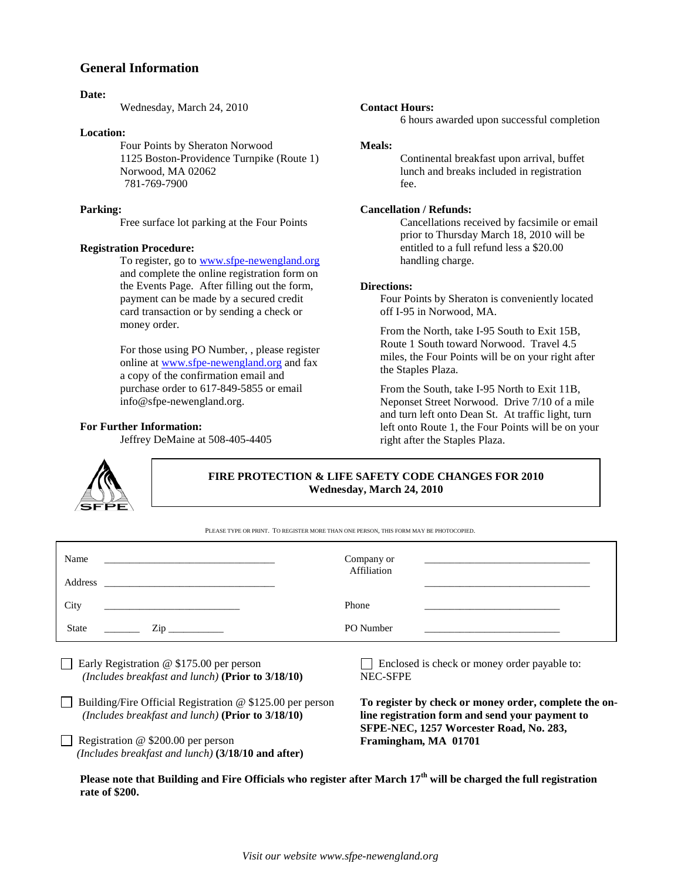### **General Information**

### **Date:**

Wednesday, March 24, 2010

#### **Location:**

Four Points by Sheraton Norwood 1125 Boston-Providence Turnpike (Route 1) Norwood, MA 02062 781-769-7900

### **Parking:**

Free surface lot parking at the Four Points

### **Registration Procedure:**

To register, go to [www.sfpe-newengland.org](http://www.sfpe-newengland.org/) and complete the online registration form on the Events Page. After filling out the form, payment can be made by a secured credit card transaction or by sending a check or money order.

For those using PO Number, , please register online at [www.sfpe-newengland.org](http://www.sfpe-newengland.org/) and fax a copy of the confirmation email and purchase order to 617-849-5855 or email info@sfpe-newengland.org.

### **For Further Information:**

Jeffrey DeMaine at 508-405-4405



**FIRE PROTECTION & LIFE SAFETY CODE CHANGES FOR 2010 Wednesday, March 24, 2010**

PLEASE TYPE OR PRINT. TO REGISTER MORE THAN ONE PERSON, THIS FORM MAY BE PHOTOCOPIED.

| Name                                                    | Company or                                        |
|---------------------------------------------------------|---------------------------------------------------|
|                                                         | <u> 1980 - Jan Alexander Alexander (h. 1980).</u> |
|                                                         | Affiliation                                       |
| City                                                    | Phone                                             |
| <u> 1980 - Andrea Stadt, fransk politiker (d. 1980)</u> |                                                   |
| $\mathsf{Zip} \_\_$                                     | PO Number                                         |
| <b>State</b>                                            |                                                   |
| $\Box$ Early Beginterian $\odot$ \$175.00 non-negative  | Englaced is check on money order nevable to       |

Early Registration  $\omega$  \$175.00 per person  *(Includes breakfast and lunch)* **(Prior to 3/18/10)**

Building/Fire Official Registration  $@$  \$125.00 per person  *(Includes breakfast and lunch)* **(Prior to 3/18/10)**

Registration  $@$  \$200.00 per person  *(Includes breakfast and lunch)* **(3/18/10 and after)** Enclosed is check or money order payable to: NEC-SFPE

**To register by check or money order, complete the online registration form and send your payment to SFPE-NEC, 1257 Worcester Road, No. 283, Framingham, MA 01701**

**Please note that Building and Fire Officials who register after March 17th will be charged the full registration rate of \$200.**

**Contact Hours:**

Continental breakfast upon arrival, buffet lunch and breaks included in registration fee.

6 hours awarded upon successful completion

### **Cancellation / Refunds:**

Cancellations received by facsimile or email prior to Thursday March 18, 2010 will be entitled to a full refund less a \$20.00 handling charge.

### **Directions:**

Four Points by Sheraton is conveniently located off I-95 in Norwood, MA.

From the North, take I-95 South to Exit 15B, Route 1 South toward Norwood. Travel 4.5 miles, the Four Points will be on your right after the Staples Plaza.

From the South, take I-95 North to Exit 11B, Neponset Street Norwood. Drive 7/10 of a mile and turn left onto Dean St. At traffic light, turn left onto Route 1, the Four Points will be on your right after the Staples Plaza.